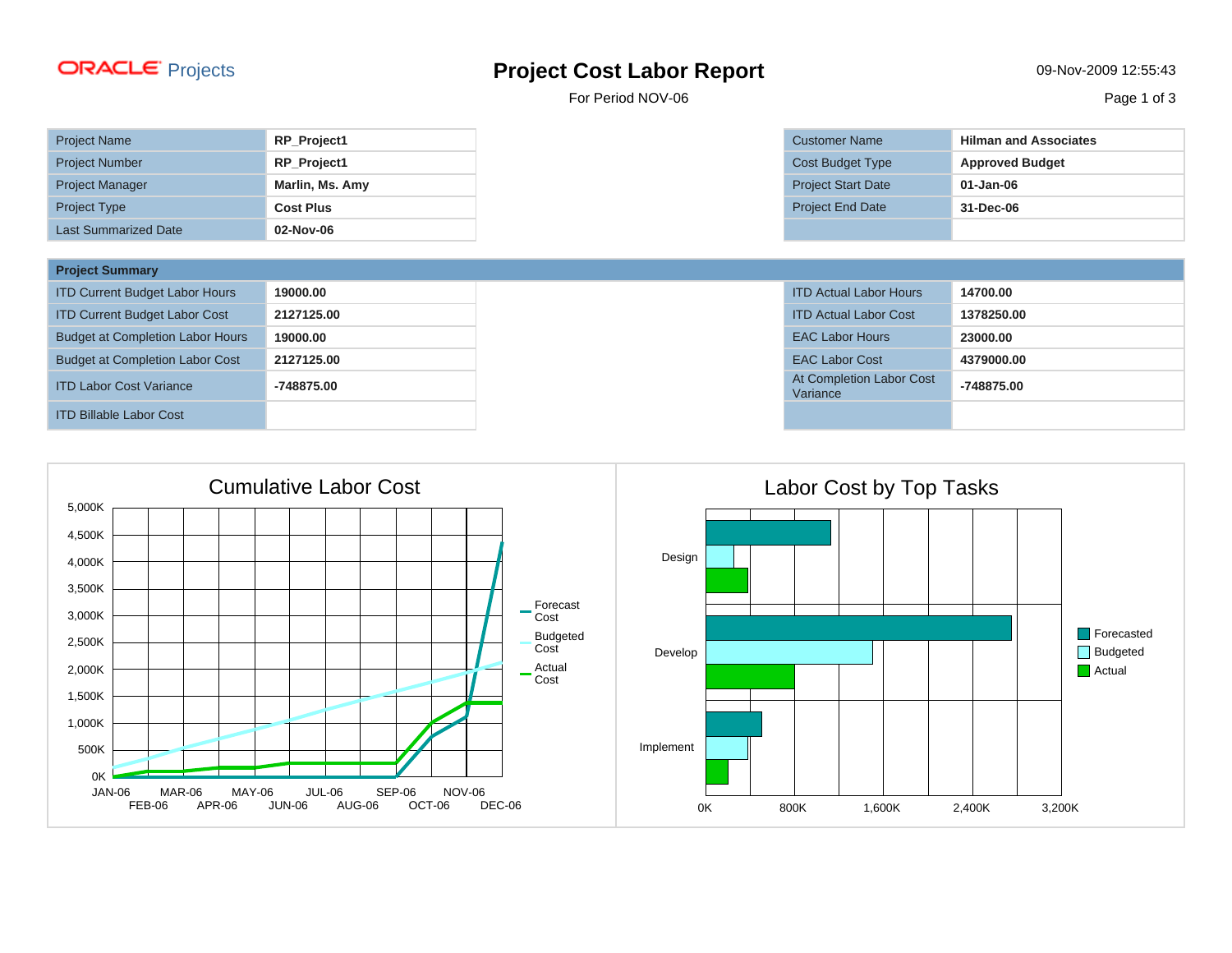## Projects **Project Cost Labor Report** 09-Nov-2009 12:55:43

For Period NOV-06 Page 1 of 3

| <b>Project Name</b>         | RP_Project1        |
|-----------------------------|--------------------|
| <b>Project Number</b>       | <b>RP</b> Project1 |
| <b>Project Manager</b>      | Marlin, Ms. Amy    |
| <b>Project Type</b>         | <b>Cost Plus</b>   |
| <b>Last Summarized Date</b> | 02-Nov-06          |

| <b>Project Summary</b>                  |            |                                      |            |
|-----------------------------------------|------------|--------------------------------------|------------|
| <b>ITD Current Budget Labor Hours</b>   | 19000.00   | <b>ITD Actual Labor Hours</b>        | 14700.00   |
| <b>ITD Current Budget Labor Cost</b>    | 2127125.00 | <b>ITD Actual Labor Cost</b>         | 1378250.00 |
| <b>Budget at Completion Labor Hours</b> | 19000.00   | <b>EAC Labor Hours</b>               | 23000.00   |
| <b>Budget at Completion Labor Cost</b>  | 2127125.00 | <b>EAC Labor Cost</b>                | 4379000.00 |
| <b>ITD Labor Cost Variance</b>          | -748875.00 | At Completion Labor Cost<br>Variance | -748875.00 |
| <b>ITD Billable Labor Cost</b>          |            |                                      |            |



| Customer Name      | <b>Hilman and Associates</b> |  |  |  |  |
|--------------------|------------------------------|--|--|--|--|
| Cost Budget Type   | <b>Approved Budget</b>       |  |  |  |  |
| Project Start Date | $01 - Jan-06$                |  |  |  |  |
| Project End Date   | 31-Dec-06                    |  |  |  |  |
|                    |                              |  |  |  |  |

| <b>ITD Actual Labor Hours</b>        | 14700.00   |
|--------------------------------------|------------|
| <b>ITD Actual Labor Cost</b>         | 1378250.00 |
| <b>EAC Labor Hours</b>               | 23000.00   |
| <b>EAC Labor Cost</b>                | 4379000.00 |
| At Completion Labor Cost<br>Variance | -748875.00 |
|                                      |            |

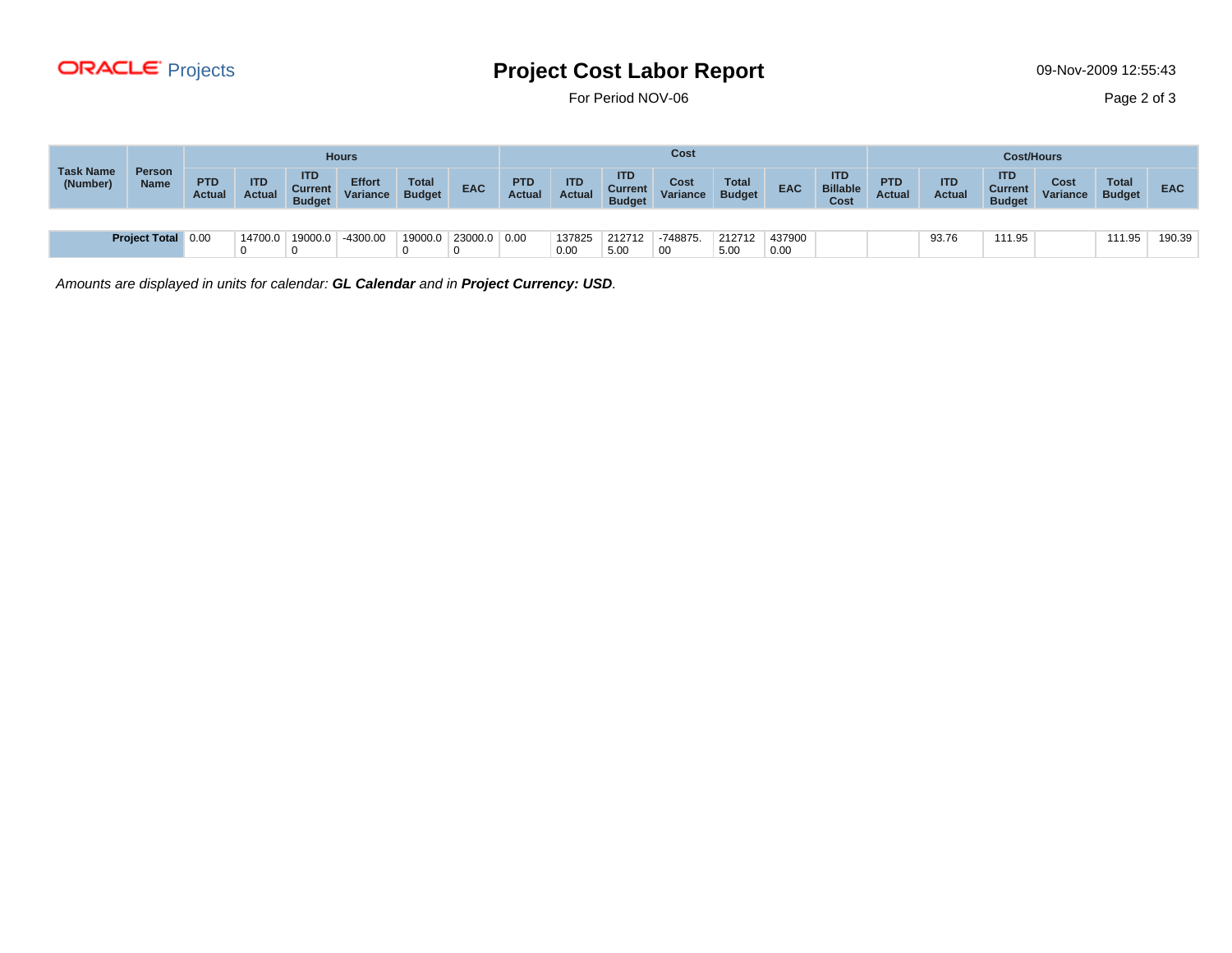

## Projects **Project Cost Labor Report** 09-Nov-2009 12:55:43

For Period NOV-06 Page 2 of 3

|                              |                              |                             | <b>Hours</b>                |                                               |                           |                               |            |                             | Cost                        |                                               |                  |                               |                |                                       | <b>Cost/Hours</b>           |                             |                                               |                  |                               |            |
|------------------------------|------------------------------|-----------------------------|-----------------------------|-----------------------------------------------|---------------------------|-------------------------------|------------|-----------------------------|-----------------------------|-----------------------------------------------|------------------|-------------------------------|----------------|---------------------------------------|-----------------------------|-----------------------------|-----------------------------------------------|------------------|-------------------------------|------------|
| <b>Task Name</b><br>(Number) | <b>Person</b><br><b>Name</b> | <b>PTD</b><br><b>Actual</b> | <b>ITD</b><br><b>Actual</b> | <b>ITD</b><br><b>Current</b><br><b>Budget</b> | <b>Effort</b><br>Variance | <b>Total</b><br><b>Budget</b> | <b>EAC</b> | <b>PTD</b><br><b>Actual</b> | <b>ITD</b><br><b>Actual</b> | <b>ITD</b><br><b>Current</b><br><b>Budget</b> | Cost<br>Variance | <b>Total</b><br><b>Budget</b> | <b>EAC</b>     | <b>ITD</b><br><b>Billable</b><br>Cost | <b>PTD</b><br><b>Actual</b> | <b>ITD</b><br><b>Actual</b> | <b>ITD</b><br><b>Current</b><br><b>Budget</b> | Cost<br>Variance | <b>Total</b><br><b>Budget</b> | <b>EAC</b> |
|                              |                              |                             |                             |                                               |                           |                               |            |                             |                             |                                               |                  |                               |                |                                       |                             |                             |                                               |                  |                               |            |
|                              | Project Total 0.00           |                             | 14700.0                     | 19000.0                                       | -4300.00                  | 19000.0                       | 23000.0    | 0.00                        | 137825<br>0.00              | 212712<br>5.00                                | -748875.<br>00   | 212712<br>5.00                | 437900<br>0.00 |                                       |                             | 93.76                       | 111.95                                        |                  | 111.95                        | 190.39     |

Amounts are displayed in units for calendar: **GL Calendar** and in **Project Currency: USD**.